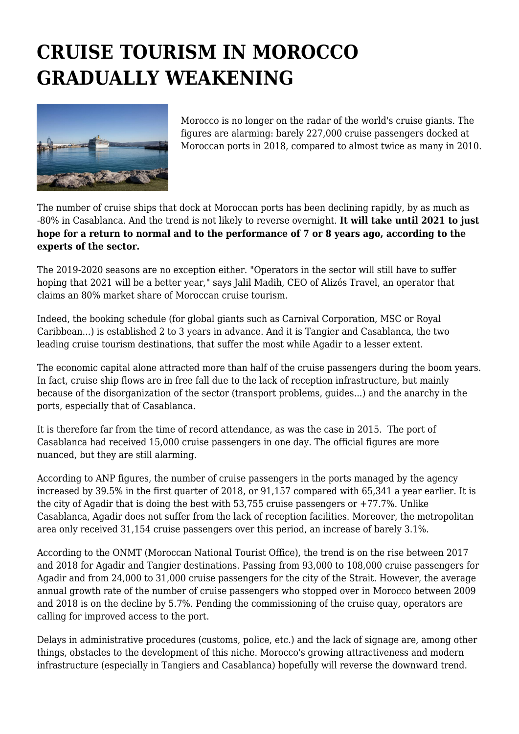## **CRUISE TOURISM IN MOROCCO GRADUALLY WEAKENING**



Morocco is no longer on the radar of the world's cruise giants. The figures are alarming: barely 227,000 cruise passengers docked at Moroccan ports in 2018, compared to almost twice as many in 2010.

The number of cruise ships that dock at Moroccan ports has been declining rapidly, by as much as -80% in Casablanca. And the trend is not likely to reverse overnight. **It will take until 2021 to just hope for a return to normal and to the performance of 7 or 8 years ago, according to the experts of the sector.**

The 2019-2020 seasons are no exception either. "Operators in the sector will still have to suffer hoping that 2021 will be a better year," says Jalil Madih, CEO of Alizés Travel, an operator that claims an 80% market share of Moroccan cruise tourism.

Indeed, the booking schedule (for global giants such as Carnival Corporation, MSC or Royal Caribbean...) is established 2 to 3 years in advance. And it is Tangier and Casablanca, the two leading cruise tourism destinations, that suffer the most while Agadir to a lesser extent.

The economic capital alone attracted more than half of the cruise passengers during the boom years. In fact, cruise ship flows are in free fall due to the lack of reception infrastructure, but mainly because of the disorganization of the sector (transport problems, guides...) and the anarchy in the ports, especially that of Casablanca.

It is therefore far from the time of record attendance, as was the case in 2015. The port of Casablanca had received 15,000 cruise passengers in one day. The official figures are more nuanced, but they are still alarming.

According to ANP figures, the number of cruise passengers in the ports managed by the agency increased by 39.5% in the first quarter of 2018, or 91,157 compared with 65,341 a year earlier. It is the city of Agadir that is doing the best with  $53,755$  cruise passengers or  $+77.7\%$ . Unlike Casablanca, Agadir does not suffer from the lack of reception facilities. Moreover, the metropolitan area only received 31,154 cruise passengers over this period, an increase of barely 3.1%.

According to the ONMT (Moroccan National Tourist Office), the trend is on the rise between 2017 and 2018 for Agadir and Tangier destinations. Passing from 93,000 to 108,000 cruise passengers for Agadir and from 24,000 to 31,000 cruise passengers for the city of the Strait. However, the average annual growth rate of the number of cruise passengers who stopped over in Morocco between 2009 and 2018 is on the decline by 5.7%. Pending the commissioning of the cruise quay, operators are calling for improved access to the port.

Delays in administrative procedures (customs, police, etc.) and the lack of signage are, among other things, obstacles to the development of this niche. Morocco's growing attractiveness and modern infrastructure (especially in Tangiers and Casablanca) hopefully will reverse the downward trend.